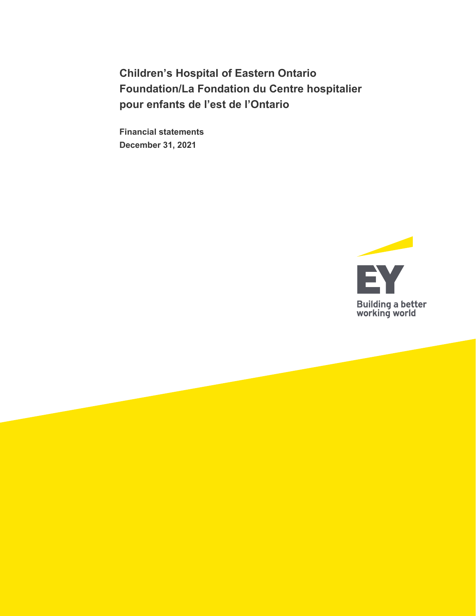**Financial statements December 31, 2021**

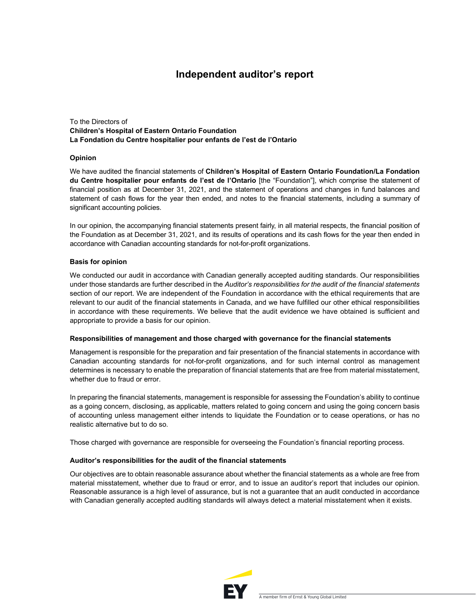# **Independent auditor's report**

### To the Directors of **Children's Hospital of Eastern Ontario Foundation La Fondation du Centre hospitalier pour enfants de l'est de l'Ontario**

#### **Opinion**

We have audited the financial statements of **Children's Hospital of Eastern Ontario Foundation/La Fondation du Centre hospitalier pour enfants de l'est de l'Ontario** [the "Foundation"], which comprise the statement of financial position as at December 31, 2021, and the statement of operations and changes in fund balances and statement of cash flows for the year then ended, and notes to the financial statements, including a summary of significant accounting policies.

In our opinion, the accompanying financial statements present fairly, in all material respects, the financial position of the Foundation as at December 31, 2021, and its results of operations and its cash flows for the year then ended in accordance with Canadian accounting standards for not-for-profit organizations.

#### **Basis for opinion**

We conducted our audit in accordance with Canadian generally accepted auditing standards. Our responsibilities under those standards are further described in the *Auditor's responsibilities for the audit of the financial statements*  section of our report. We are independent of the Foundation in accordance with the ethical requirements that are relevant to our audit of the financial statements in Canada, and we have fulfilled our other ethical responsibilities in accordance with these requirements. We believe that the audit evidence we have obtained is sufficient and appropriate to provide a basis for our opinion.

#### **Responsibilities of management and those charged with governance for the financial statements**

Management is responsible for the preparation and fair presentation of the financial statements in accordance with Canadian accounting standards for not-for-profit organizations, and for such internal control as management determines is necessary to enable the preparation of financial statements that are free from material misstatement, whether due to fraud or error.

In preparing the financial statements, management is responsible for assessing the Foundation's ability to continue as a going concern, disclosing, as applicable, matters related to going concern and using the going concern basis of accounting unless management either intends to liquidate the Foundation or to cease operations, or has no realistic alternative but to do so.

Those charged with governance are responsible for overseeing the Foundation's financial reporting process.

#### **Auditor's responsibilities for the audit of the financial statements**

Our objectives are to obtain reasonable assurance about whether the financial statements as a whole are free from material misstatement, whether due to fraud or error, and to issue an auditor's report that includes our opinion. Reasonable assurance is a high level of assurance, but is not a guarantee that an audit conducted in accordance with Canadian generally accepted auditing standards will always detect a material misstatement when it exists.

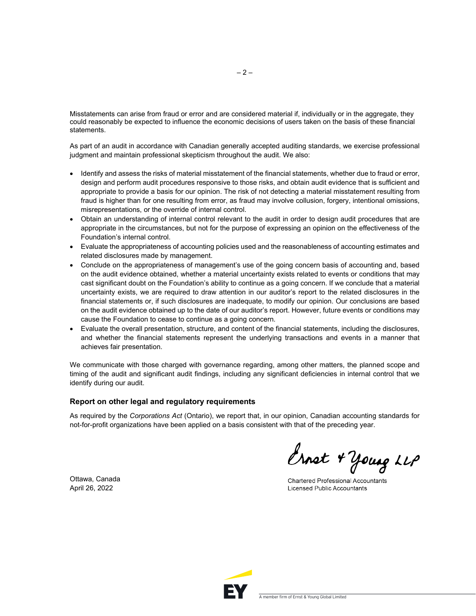Misstatements can arise from fraud or error and are considered material if, individually or in the aggregate, they could reasonably be expected to influence the economic decisions of users taken on the basis of these financial statements.

As part of an audit in accordance with Canadian generally accepted auditing standards, we exercise professional judgment and maintain professional skepticism throughout the audit. We also:

- Identify and assess the risks of material misstatement of the financial statements, whether due to fraud or error, design and perform audit procedures responsive to those risks, and obtain audit evidence that is sufficient and appropriate to provide a basis for our opinion. The risk of not detecting a material misstatement resulting from fraud is higher than for one resulting from error, as fraud may involve collusion, forgery, intentional omissions, misrepresentations, or the override of internal control.
- Obtain an understanding of internal control relevant to the audit in order to design audit procedures that are appropriate in the circumstances, but not for the purpose of expressing an opinion on the effectiveness of the Foundation's internal control.
- Evaluate the appropriateness of accounting policies used and the reasonableness of accounting estimates and related disclosures made by management.
- Conclude on the appropriateness of management's use of the going concern basis of accounting and, based on the audit evidence obtained, whether a material uncertainty exists related to events or conditions that may cast significant doubt on the Foundation's ability to continue as a going concern. If we conclude that a material uncertainty exists, we are required to draw attention in our auditor's report to the related disclosures in the financial statements or, if such disclosures are inadequate, to modify our opinion. Our conclusions are based on the audit evidence obtained up to the date of our auditor's report. However, future events or conditions may cause the Foundation to cease to continue as a going concern.
- Evaluate the overall presentation, structure, and content of the financial statements, including the disclosures, and whether the financial statements represent the underlying transactions and events in a manner that achieves fair presentation.

We communicate with those charged with governance regarding, among other matters, the planned scope and timing of the audit and significant audit findings, including any significant deficiencies in internal control that we identify during our audit.

### **Report on other legal and regulatory requirements**

As required by the *Corporations Act* (Ontario), we report that, in our opinion, Canadian accounting standards for not-for-profit organizations have been applied on a basis consistent with that of the preceding year.

Ernst + Young LLP

Ottawa, Canada April 26, 2022

**Chartered Professional Accountants** Licensed Public Accountants

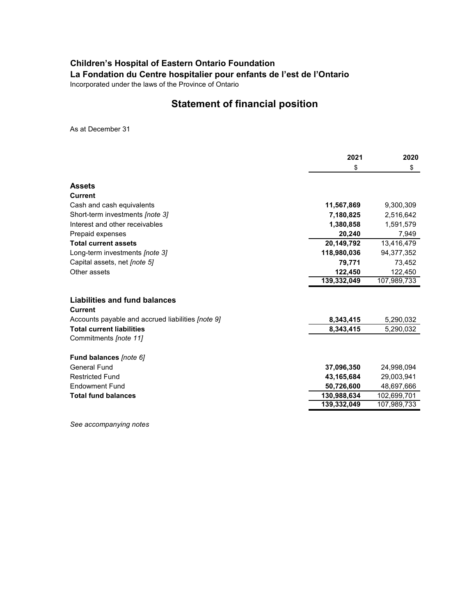# **Children's Hospital of Eastern Ontario Foundation**

**La Fondation du Centre hospitalier pour enfants de l'est de l'Ontario**

Incorporated under the laws of the Province of Ontario

# **Statement of financial position**

As at December 31

|                                                        | 2021        | 2020        |
|--------------------------------------------------------|-------------|-------------|
|                                                        | \$          | \$          |
| <b>Assets</b>                                          |             |             |
| <b>Current</b>                                         |             |             |
| Cash and cash equivalents                              | 11,567,869  | 9,300,309   |
| Short-term investments [note 3]                        | 7,180,825   | 2,516,642   |
| Interest and other receivables                         | 1,380,858   | 1,591,579   |
| Prepaid expenses                                       | 20,240      | 7,949       |
| <b>Total current assets</b>                            | 20,149,792  | 13,416,479  |
| Long-term investments [note 3]                         | 118,980,036 | 94,377,352  |
| Capital assets, net <i>[note 5]</i>                    | 79,771      | 73,452      |
| Other assets                                           | 122,450     | 122,450     |
|                                                        | 139,332,049 | 107,989,733 |
| <b>Liabilities and fund balances</b><br><b>Current</b> |             |             |
| Accounts payable and accrued liabilities [note 9]      | 8,343,415   | 5,290,032   |
| <b>Total current liabilities</b>                       | 8,343,415   | 5,290,032   |
| Commitments [note 11]                                  |             |             |
| Fund balances [note 6]                                 |             |             |
| General Fund                                           | 37,096,350  | 24,998,094  |
| <b>Restricted Fund</b>                                 | 43,165,684  | 29,003,941  |
| <b>Endowment Fund</b>                                  | 50,726,600  | 48,697,666  |
| <b>Total fund balances</b>                             | 130,988,634 | 102,699,701 |
|                                                        | 139,332,049 | 107,989,733 |
|                                                        |             |             |

*See accompanying notes*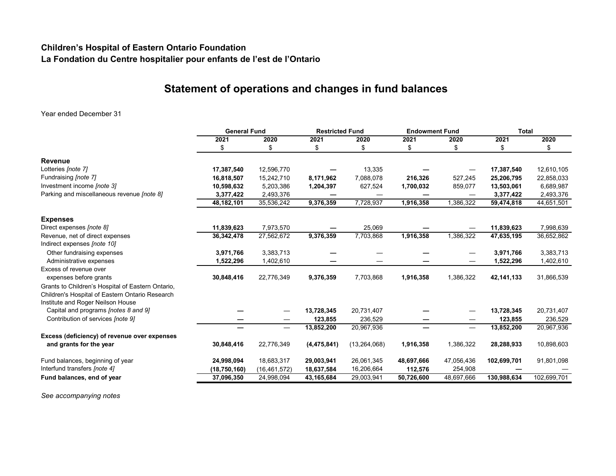# **Statement of operations and changes in fund balances**

Year ended December 31

|                                                                                      | <b>General Fund</b> |                   | <b>Restricted Fund</b> |                | <b>Endowment Fund</b> |                   | <b>Total</b> |             |
|--------------------------------------------------------------------------------------|---------------------|-------------------|------------------------|----------------|-----------------------|-------------------|--------------|-------------|
|                                                                                      | 2021                | 2020              | 2021                   | 2020           | 2021                  | 2020              | 2021         | 2020        |
|                                                                                      | \$                  | \$                | \$                     | \$             | \$                    | \$                | \$           | \$          |
| <b>Revenue</b>                                                                       |                     |                   |                        |                |                       |                   |              |             |
| Lotteries [note 7]                                                                   | 17,387,540          | 12,596,770        |                        | 13,335         |                       |                   | 17,387,540   | 12,610,105  |
| Fundraising [note 7]                                                                 | 16,818,507          | 15,242,710        | 8,171,962              | 7,088,078      | 216,326               | 527,245           | 25,206,795   | 22,858,033  |
| Investment income [note 3]                                                           | 10,598,632          | 5,203,386         | 1,204,397              | 627,524        | 1,700,032             | 859,077           | 13,503,061   | 6,689,987   |
| Parking and miscellaneous revenue [note 8]                                           | 3,377,422           | 2,493,376         |                        |                |                       |                   | 3,377,422    | 2,493,376   |
|                                                                                      | 48,182,101          | 35,536,242        | 9,376,359              | 7,728,937      | 1,916,358             | 1,386,322         | 59,474,818   | 44,651,501  |
| <b>Expenses</b>                                                                      |                     |                   |                        |                |                       |                   |              |             |
| Direct expenses [note 8]                                                             | 11,839,623          | 7,973,570         |                        | 25,069         |                       |                   | 11,839,623   | 7,998,639   |
| Revenue, net of direct expenses<br>Indirect expenses [note 10]                       | 36, 342, 478        | 27,562,672        | 9,376,359              | 7,703,868      | 1,916,358             | 1,386,322         | 47,635,195   | 36,652,862  |
| Other fundraising expenses                                                           | 3,971,766           | 3,383,713         |                        |                |                       |                   | 3,971,766    | 3,383,713   |
| Administrative expenses                                                              | 1,522,296           | 1,402,610         |                        |                |                       |                   | 1,522,296    | 1,402,610   |
| Excess of revenue over                                                               |                     |                   |                        |                |                       |                   |              |             |
| expenses before grants                                                               | 30,848,416          | 22,776,349        | 9,376,359              | 7,703,868      | 1,916,358             | 1,386,322         | 42,141,133   | 31,866,539  |
| Grants to Children's Hospital of Eastern Ontario,                                    |                     |                   |                        |                |                       |                   |              |             |
| Children's Hospital of Eastern Ontario Research<br>Institute and Roger Neilson House |                     |                   |                        |                |                       |                   |              |             |
| Capital and programs <i>[notes 8 and 9]</i>                                          |                     |                   | 13,728,345             | 20,731,407     |                       |                   | 13,728,345   | 20,731,407  |
| Contribution of services <i>[note 9]</i>                                             |                     |                   | 123,855                | 236,529        |                       |                   | 123,855      | 236,529     |
|                                                                                      |                     | $\hspace{0.05cm}$ | 13,852,200             | 20,967,936     |                       | $\hspace{0.05cm}$ | 13,852,200   | 20,967,936  |
| Excess (deficiency) of revenue over expenses                                         |                     |                   |                        |                |                       |                   |              |             |
| and grants for the year                                                              | 30,848,416          | 22,776,349        | (4, 475, 841)          | (13, 264, 068) | 1,916,358             | 1,386,322         | 28,288,933   | 10,898,603  |
| Fund balances, beginning of year                                                     | 24,998,094          | 18,683,317        | 29,003,941             | 26,061,345     | 48,697,666            | 47,056,436        | 102,699,701  | 91,801,098  |
| Interfund transfers [note 4]                                                         | (18, 750, 160)      | (16, 461, 572)    | 18,637,584             | 16,206,664     | 112,576               | 254,908           |              |             |
| Fund balances, end of year                                                           | 37,096,350          | 24,998,094        | 43,165,684             | 29,003,941     | 50,726,600            | 48,697,666        | 130,988,634  | 102,699,701 |
|                                                                                      |                     |                   |                        |                |                       |                   |              |             |

*See accompanying notes*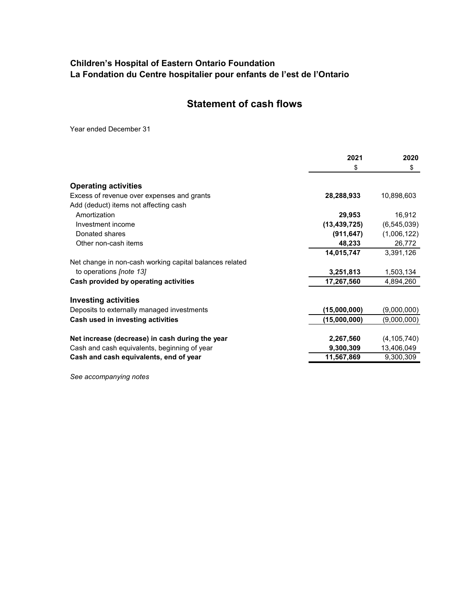# **Statement of cash flows**

Year ended December 31

| 2021           | 2020          |
|----------------|---------------|
| \$             | \$            |
|                |               |
| 28,288,933     | 10,898,603    |
|                |               |
| 29,953         | 16,912        |
| (13, 439, 725) | (6, 545, 039) |
| (911, 647)     | (1,006,122)   |
| 48,233         | 26,772        |
| 14,015,747     | 3,391,126     |
|                |               |
| 3,251,813      | 1,503,134     |
| 17,267,560     | 4,894,260     |
|                |               |
| (15,000,000)   | (9,000,000)   |
| (15,000,000)   | (9,000,000)   |
| 2,267,560      | (4, 105, 740) |
| 9,300,309      | 13,406,049    |
| 11,567,869     | 9,300,309     |
|                |               |

*See accompanying notes*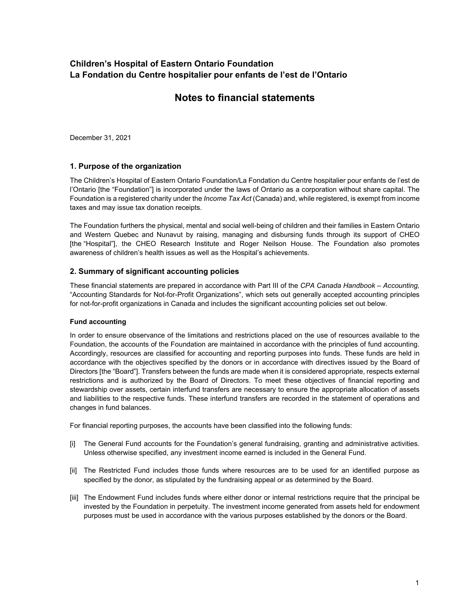# **Notes to financial statements**

December 31, 2021

## **1. Purpose of the organization**

The Children's Hospital of Eastern Ontario Foundation/La Fondation du Centre hospitalier pour enfants de l'est de l'Ontario [the "Foundation"] is incorporated under the laws of Ontario as a corporation without share capital. The Foundation is a registered charity under the *Income Tax Act* (Canada) and, while registered, is exempt from income taxes and may issue tax donation receipts.

The Foundation furthers the physical, mental and social well-being of children and their families in Eastern Ontario and Western Quebec and Nunavut by raising, managing and disbursing funds through its support of CHEO [the "Hospital"], the CHEO Research Institute and Roger Neilson House. The Foundation also promotes awareness of children's health issues as well as the Hospital's achievements.

## **2. Summary of significant accounting policies**

These financial statements are prepared in accordance with Part III of the *CPA Canada Handbook – Accounting,* "Accounting Standards for Not-for-Profit Organizations", which sets out generally accepted accounting principles for not-for-profit organizations in Canada and includes the significant accounting policies set out below.

### **Fund accounting**

In order to ensure observance of the limitations and restrictions placed on the use of resources available to the Foundation, the accounts of the Foundation are maintained in accordance with the principles of fund accounting. Accordingly, resources are classified for accounting and reporting purposes into funds. These funds are held in accordance with the objectives specified by the donors or in accordance with directives issued by the Board of Directors [the "Board"]. Transfers between the funds are made when it is considered appropriate, respects external restrictions and is authorized by the Board of Directors. To meet these objectives of financial reporting and stewardship over assets, certain interfund transfers are necessary to ensure the appropriate allocation of assets and liabilities to the respective funds. These interfund transfers are recorded in the statement of operations and changes in fund balances.

For financial reporting purposes, the accounts have been classified into the following funds:

- [i] The General Fund accounts for the Foundation's general fundraising, granting and administrative activities. Unless otherwise specified, any investment income earned is included in the General Fund.
- [ii] The Restricted Fund includes those funds where resources are to be used for an identified purpose as specified by the donor, as stipulated by the fundraising appeal or as determined by the Board.
- [iii] The Endowment Fund includes funds where either donor or internal restrictions require that the principal be invested by the Foundation in perpetuity. The investment income generated from assets held for endowment purposes must be used in accordance with the various purposes established by the donors or the Board.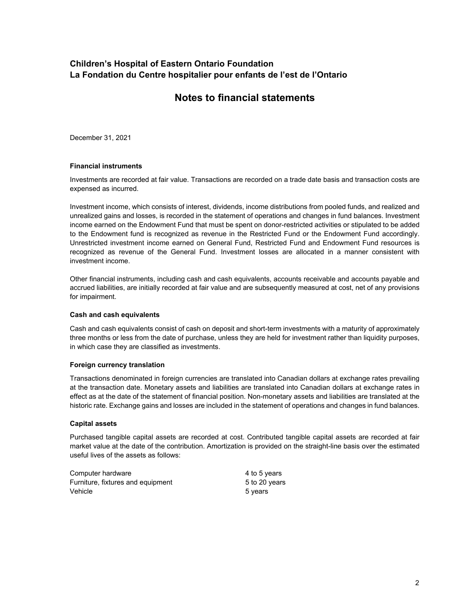# **Notes to financial statements**

December 31, 2021

#### **Financial instruments**

Investments are recorded at fair value. Transactions are recorded on a trade date basis and transaction costs are expensed as incurred.

Investment income, which consists of interest, dividends, income distributions from pooled funds, and realized and unrealized gains and losses, is recorded in the statement of operations and changes in fund balances. Investment income earned on the Endowment Fund that must be spent on donor-restricted activities or stipulated to be added to the Endowment fund is recognized as revenue in the Restricted Fund or the Endowment Fund accordingly. Unrestricted investment income earned on General Fund, Restricted Fund and Endowment Fund resources is recognized as revenue of the General Fund. Investment losses are allocated in a manner consistent with investment income.

Other financial instruments, including cash and cash equivalents, accounts receivable and accounts payable and accrued liabilities, are initially recorded at fair value and are subsequently measured at cost, net of any provisions for impairment.

### **Cash and cash equivalents**

Cash and cash equivalents consist of cash on deposit and short-term investments with a maturity of approximately three months or less from the date of purchase, unless they are held for investment rather than liquidity purposes, in which case they are classified as investments.

#### **Foreign currency translation**

Transactions denominated in foreign currencies are translated into Canadian dollars at exchange rates prevailing at the transaction date. Monetary assets and liabilities are translated into Canadian dollars at exchange rates in effect as at the date of the statement of financial position. Non-monetary assets and liabilities are translated at the historic rate. Exchange gains and losses are included in the statement of operations and changes in fund balances.

#### **Capital assets**

Purchased tangible capital assets are recorded at cost. Contributed tangible capital assets are recorded at fair market value at the date of the contribution. Amortization is provided on the straight-line basis over the estimated useful lives of the assets as follows:

| Computer hardware                 | 4 to 5 years  |
|-----------------------------------|---------------|
| Furniture, fixtures and equipment | 5 to 20 years |
| Vehicle                           | 5 vears       |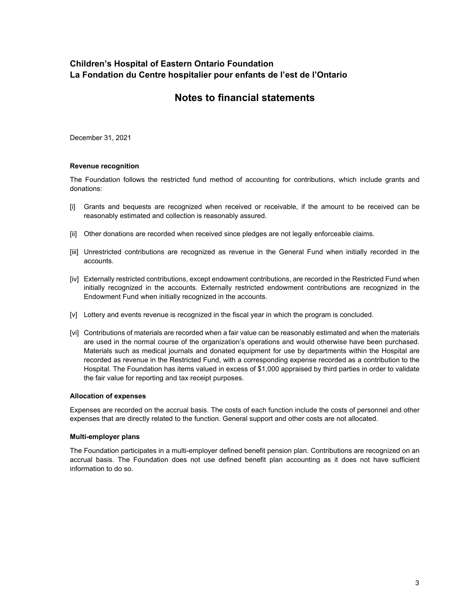# **Notes to financial statements**

December 31, 2021

#### **Revenue recognition**

The Foundation follows the restricted fund method of accounting for contributions, which include grants and donations:

- [i] Grants and bequests are recognized when received or receivable, if the amount to be received can be reasonably estimated and collection is reasonably assured.
- [ii] Other donations are recorded when received since pledges are not legally enforceable claims.
- [iii] Unrestricted contributions are recognized as revenue in the General Fund when initially recorded in the accounts.
- [iv] Externally restricted contributions, except endowment contributions, are recorded in the Restricted Fund when initially recognized in the accounts. Externally restricted endowment contributions are recognized in the Endowment Fund when initially recognized in the accounts.
- [v] Lottery and events revenue is recognized in the fiscal year in which the program is concluded.
- [vi] Contributions of materials are recorded when a fair value can be reasonably estimated and when the materials are used in the normal course of the organization's operations and would otherwise have been purchased. Materials such as medical journals and donated equipment for use by departments within the Hospital are recorded as revenue in the Restricted Fund, with a corresponding expense recorded as a contribution to the Hospital. The Foundation has items valued in excess of \$1,000 appraised by third parties in order to validate the fair value for reporting and tax receipt purposes.

### **Allocation of expenses**

Expenses are recorded on the accrual basis. The costs of each function include the costs of personnel and other expenses that are directly related to the function. General support and other costs are not allocated.

#### **Multi-employer plans**

The Foundation participates in a multi-employer defined benefit pension plan. Contributions are recognized on an accrual basis. The Foundation does not use defined benefit plan accounting as it does not have sufficient information to do so.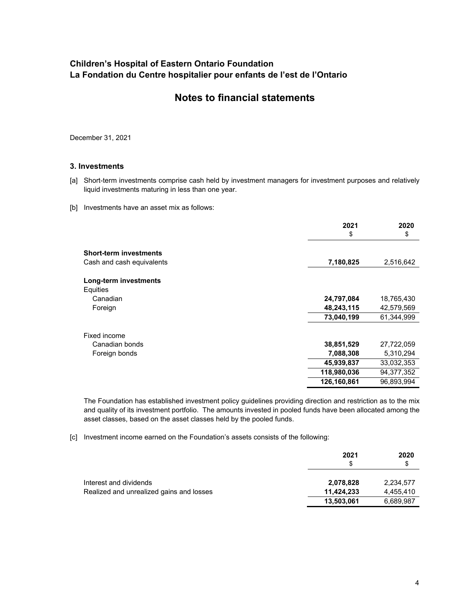# **Notes to financial statements**

December 31, 2021

### **3. Investments**

- [a] Short-term investments comprise cash held by investment managers for investment purposes and relatively liquid investments maturing in less than one year.
- [b] Investments have an asset mix as follows:

|                                   | 2021<br>\$  | 2020<br>\$ |
|-----------------------------------|-------------|------------|
| <b>Short-term investments</b>     |             |            |
| Cash and cash equivalents         | 7,180,825   | 2,516,642  |
| Long-term investments<br>Equities |             |            |
| Canadian                          | 24,797,084  | 18,765,430 |
| Foreign                           | 48,243,115  | 42,579,569 |
|                                   | 73,040,199  | 61,344,999 |
| Fixed income                      |             |            |
| Canadian bonds                    | 38,851,529  | 27,722,059 |
| Foreign bonds                     | 7,088,308   | 5,310,294  |
|                                   | 45,939,837  | 33,032,353 |
|                                   | 118,980,036 | 94,377,352 |
|                                   | 126,160,861 | 96.893.994 |

The Foundation has established investment policy guidelines providing direction and restriction as to the mix and quality of its investment portfolio. The amounts invested in pooled funds have been allocated among the asset classes, based on the asset classes held by the pooled funds.

[c] Investment income earned on the Foundation's assets consists of the following:

|                                          | 2021<br>\$ | 2020<br>S |
|------------------------------------------|------------|-----------|
| Interest and dividends                   | 2,078,828  | 2.234.577 |
| Realized and unrealized gains and losses | 11.424.233 | 4.455.410 |
|                                          | 13,503,061 | 6,689,987 |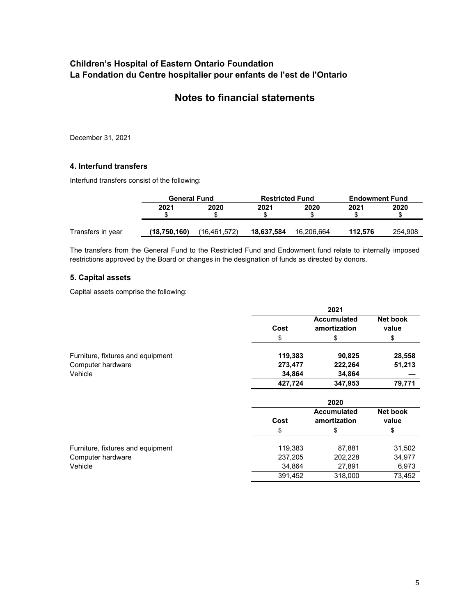# **Notes to financial statements**

December 31, 2021

### **4. Interfund transfers**

Interfund transfers consist of the following:

|                   | <b>General Fund</b> |              | <b>Restricted Fund</b> |            | <b>Endowment Fund</b> |         |
|-------------------|---------------------|--------------|------------------------|------------|-----------------------|---------|
|                   | 2021                | 2020         | 2021                   | 2020       | 2021                  | 2020    |
|                   |                     |              |                        |            |                       |         |
|                   |                     |              |                        |            |                       |         |
| Transfers in year | (18.750.160)        | (16.461.572) | 18.637.584             | 16.206.664 | 112.576               | 254.908 |

The transfers from the General Fund to the Restricted Fund and Endowment fund relate to internally imposed restrictions approved by the Board or changes in the designation of funds as directed by donors.

## **5. Capital assets**

Capital assets comprise the following:

|                                   |         | 2021                               |                   |  |
|-----------------------------------|---------|------------------------------------|-------------------|--|
|                                   | Cost    | <b>Accumulated</b><br>amortization | Net book<br>value |  |
|                                   | \$      | \$                                 | \$                |  |
| Furniture, fixtures and equipment | 119,383 | 90,825                             | 28,558            |  |
| Computer hardware                 | 273,477 | 222,264                            | 51,213            |  |
| Vehicle                           | 34,864  | 34,864                             |                   |  |
|                                   | 427,724 | 347,953                            | 79,771            |  |
|                                   | 2020    |                                    |                   |  |
|                                   | Cost    | <b>Accumulated</b><br>amortization | Net book<br>value |  |
|                                   | \$      | \$                                 | \$                |  |
| Furniture, fixtures and equipment | 119,383 | 87,881                             | 31,502            |  |
| Computer hardware                 | 237,205 | 202,228                            | 34,977            |  |
| Vehicle                           | 34,864  | 27,891                             | 6,973             |  |
|                                   | 391,452 | 318,000                            | 73,452            |  |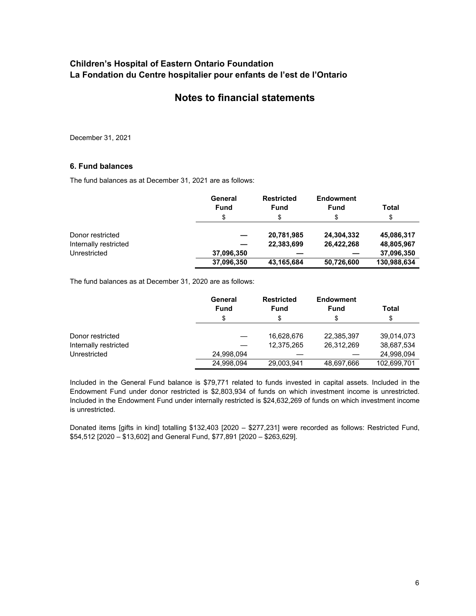# **Notes to financial statements**

December 31, 2021

## **6. Fund balances**

The fund balances as at December 31, 2021 are as follows:

|                       | General<br><b>Fund</b> | <b>Restricted</b><br><b>Fund</b> | <b>Endowment</b><br><b>Fund</b> | Total       |
|-----------------------|------------------------|----------------------------------|---------------------------------|-------------|
|                       | \$                     | \$                               | \$                              | \$          |
| Donor restricted      |                        | 20,781,985                       | 24,304,332                      | 45,086,317  |
| Internally restricted |                        | 22.383.699                       | 26.422.268                      | 48,805,967  |
| Unrestricted          | 37,096,350             |                                  |                                 | 37,096,350  |
|                       | 37,096,350             | 43,165,684                       | 50,726,600                      | 130,988,634 |

The fund balances as at December 31, 2020 are as follows:

|                       | General<br><b>Fund</b> | <b>Restricted</b><br><b>Fund</b> | <b>Endowment</b><br><b>Fund</b> | <b>Total</b> |
|-----------------------|------------------------|----------------------------------|---------------------------------|--------------|
|                       | \$                     | \$                               | \$                              | \$           |
| Donor restricted      |                        | 16.628.676                       | 22,385,397                      | 39,014,073   |
| Internally restricted |                        | 12.375.265                       | 26,312,269                      | 38,687,534   |
| Unrestricted          | 24,998,094             |                                  |                                 | 24,998,094   |
|                       | 24,998,094             | 29,003,941                       | 48,697,666                      | 102,699,701  |

Included in the General Fund balance is \$79,771 related to funds invested in capital assets. Included in the Endowment Fund under donor restricted is \$2,803,934 of funds on which investment income is unrestricted. Included in the Endowment Fund under internally restricted is \$24,632,269 of funds on which investment income is unrestricted.

Donated items [gifts in kind] totalling \$132,403 [2020 – \$277,231] were recorded as follows: Restricted Fund, \$54,512 [2020 – \$13,602] and General Fund, \$77,891 [2020 – \$263,629].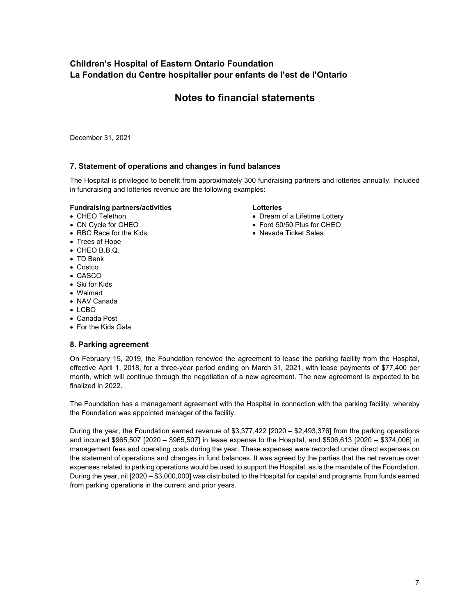# **Notes to financial statements**

December 31, 2021

## **7. Statement of operations and changes in fund balances**

The Hospital is privileged to benefit from approximately 300 fundraising partners and lotteries annually. Included in fundraising and lotteries revenue are the following examples:

#### **Fundraising partners/activities Lotteries**

- CHEO Telethon
- CN Cycle for CHEO
- RBC Race for the Kids
- Trees of Hope
- CHEO B.B.Q.
- TD Bank
- Costco
- CASCO
- Ski for Kids
- Walmart
- NAV Canada
- LCBO
- Canada Post
- For the Kids Gala

### **8. Parking agreement**

### On February 15, 2019, the Foundation renewed the agreement to lease the parking facility from the Hospital, effective April 1, 2018, for a three-year period ending on March 31, 2021, with lease payments of \$77,400 per month, which will continue through the negotiation of a new agreement. The new agreement is expected to be finalized in 2022.

The Foundation has a management agreement with the Hospital in connection with the parking facility, whereby the Foundation was appointed manager of the facility.

During the year, the Foundation earned revenue of \$3,377,422 [2020 – \$2,493,376] from the parking operations and incurred \$965,507 [2020 – \$965,507] in lease expense to the Hospital, and \$506,613 [2020 – \$374,006] in management fees and operating costs during the year. These expenses were recorded under direct expenses on the statement of operations and changes in fund balances. It was agreed by the parties that the net revenue over expenses related to parking operations would be used to support the Hospital, as is the mandate of the Foundation. During the year, nil [2020 – \$3,000,000] was distributed to the Hospital for capital and programs from funds earned from parking operations in the current and prior years.

- Dream of a Lifetime Lottery
- Ford 50/50 Plus for CHEO
- Nevada Ticket Sales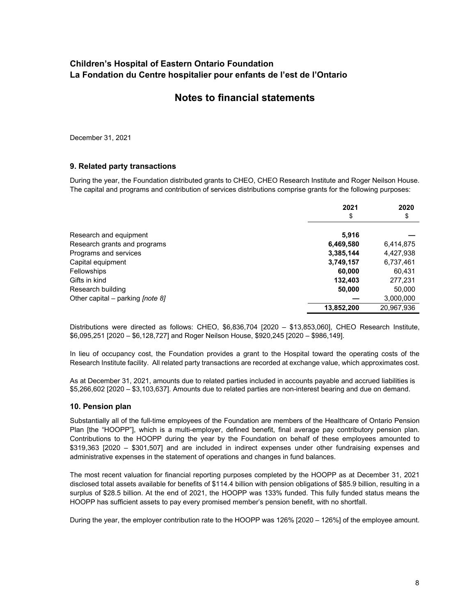# **Notes to financial statements**

December 31, 2021

## **9. Related party transactions**

During the year, the Foundation distributed grants to CHEO, CHEO Research Institute and Roger Neilson House. The capital and programs and contribution of services distributions comprise grants for the following purposes:

|                                  | 2021       | 2020       |  |
|----------------------------------|------------|------------|--|
|                                  | \$         | \$         |  |
| Research and equipment           | 5,916      |            |  |
| Research grants and programs     | 6,469,580  | 6,414,875  |  |
| Programs and services            | 3,385,144  | 4,427,938  |  |
| Capital equipment                | 3,749,157  | 6,737,461  |  |
| <b>Fellowships</b>               | 60,000     | 60,431     |  |
| Gifts in kind                    | 132,403    | 277,231    |  |
| Research building                | 50,000     | 50,000     |  |
| Other capital – parking [note 8] |            | 3,000,000  |  |
|                                  | 13,852,200 | 20.967.936 |  |

Distributions were directed as follows: CHEO, \$6,836,704 [2020 – \$13,853,060], CHEO Research Institute, \$6,095,251 [2020 – \$6,128,727] and Roger Neilson House, \$920,245 [2020 – \$986,149].

In lieu of occupancy cost, the Foundation provides a grant to the Hospital toward the operating costs of the Research Institute facility. All related party transactions are recorded at exchange value, which approximates cost.

As at December 31, 2021, amounts due to related parties included in accounts payable and accrued liabilities is \$5,266,602 [2020 – \$3,103,637]. Amounts due to related parties are non-interest bearing and due on demand.

## **10. Pension plan**

Substantially all of the full-time employees of the Foundation are members of the Healthcare of Ontario Pension Plan [the "HOOPP"], which is a multi-employer, defined benefit, final average pay contributory pension plan. Contributions to the HOOPP during the year by the Foundation on behalf of these employees amounted to \$319,363 [2020 – \$301,507] and are included in indirect expenses under other fundraising expenses and administrative expenses in the statement of operations and changes in fund balances.

The most recent valuation for financial reporting purposes completed by the HOOPP as at December 31, 2021 disclosed total assets available for benefits of \$114.4 billion with pension obligations of \$85.9 billion, resulting in a surplus of \$28.5 billion. At the end of 2021, the HOOPP was 133% funded. This fully funded status means the HOOPP has sufficient assets to pay every promised member's pension benefit, with no shortfall.

During the year, the employer contribution rate to the HOOPP was 126% [2020 – 126%] of the employee amount.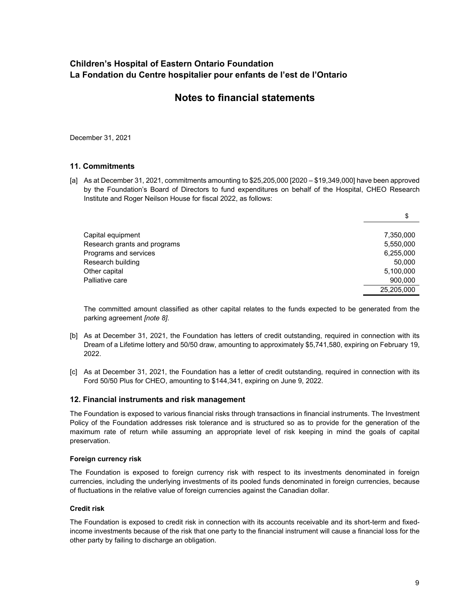# **Notes to financial statements**

December 31, 2021

### **11. Commitments**

[a] As at December 31, 2021, commitments amounting to \$25,205,000 [2020 – \$19,349,000] have been approved by the Foundation's Board of Directors to fund expenditures on behalf of the Hospital, CHEO Research Institute and Roger Neilson House for fiscal 2022, as follows:

|                              | \$         |
|------------------------------|------------|
|                              |            |
| Capital equipment            | 7,350,000  |
| Research grants and programs | 5,550,000  |
| Programs and services        | 6,255,000  |
| Research building            | 50,000     |
| Other capital                | 5,100,000  |
| Palliative care              | 900,000    |
|                              | 25,205,000 |

The committed amount classified as other capital relates to the funds expected to be generated from the parking agreement *[note 8]*.

- [b] As at December 31, 2021, the Foundation has letters of credit outstanding, required in connection with its Dream of a Lifetime lottery and 50/50 draw, amounting to approximately \$5,741,580, expiring on February 19, 2022.
- [c] As at December 31, 2021, the Foundation has a letter of credit outstanding, required in connection with its Ford 50/50 Plus for CHEO, amounting to \$144,341, expiring on June 9, 2022.

### **12. Financial instruments and risk management**

The Foundation is exposed to various financial risks through transactions in financial instruments. The Investment Policy of the Foundation addresses risk tolerance and is structured so as to provide for the generation of the maximum rate of return while assuming an appropriate level of risk keeping in mind the goals of capital preservation.

#### **Foreign currency risk**

The Foundation is exposed to foreign currency risk with respect to its investments denominated in foreign currencies, including the underlying investments of its pooled funds denominated in foreign currencies, because of fluctuations in the relative value of foreign currencies against the Canadian dollar.

#### **Credit risk**

The Foundation is exposed to credit risk in connection with its accounts receivable and its short-term and fixedincome investments because of the risk that one party to the financial instrument will cause a financial loss for the other party by failing to discharge an obligation.